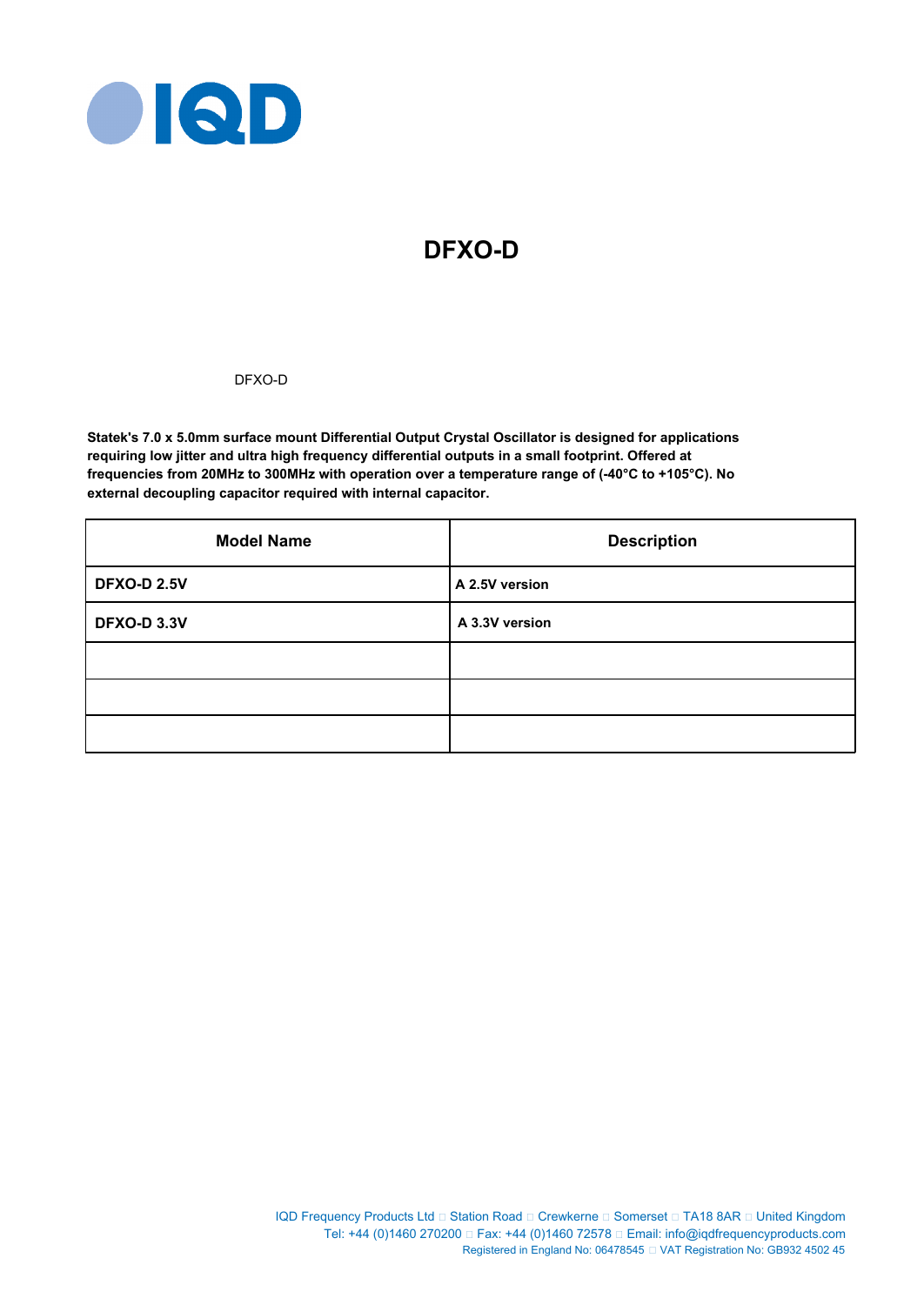

# **DFXO-D**

# DFXO-D

**Statek's 7.0 x 5.0mm surface mount Differential Output Crystal Oscillator is designed for applications requiring low jitter and ultra high frequency differential outputs in a small footprint. Offered at frequencies from 20MHz to 300MHz with operation over a temperature range of (-40°C to +105°C). No external decoupling capacitor required with internal capacitor.**

| <b>Model Name</b>  | <b>Description</b> |  |  |
|--------------------|--------------------|--|--|
| <b>DFXO-D 2.5V</b> | A 2.5V version     |  |  |
| <b>DFXO-D 3.3V</b> | A 3.3V version     |  |  |
|                    |                    |  |  |
|                    |                    |  |  |
|                    |                    |  |  |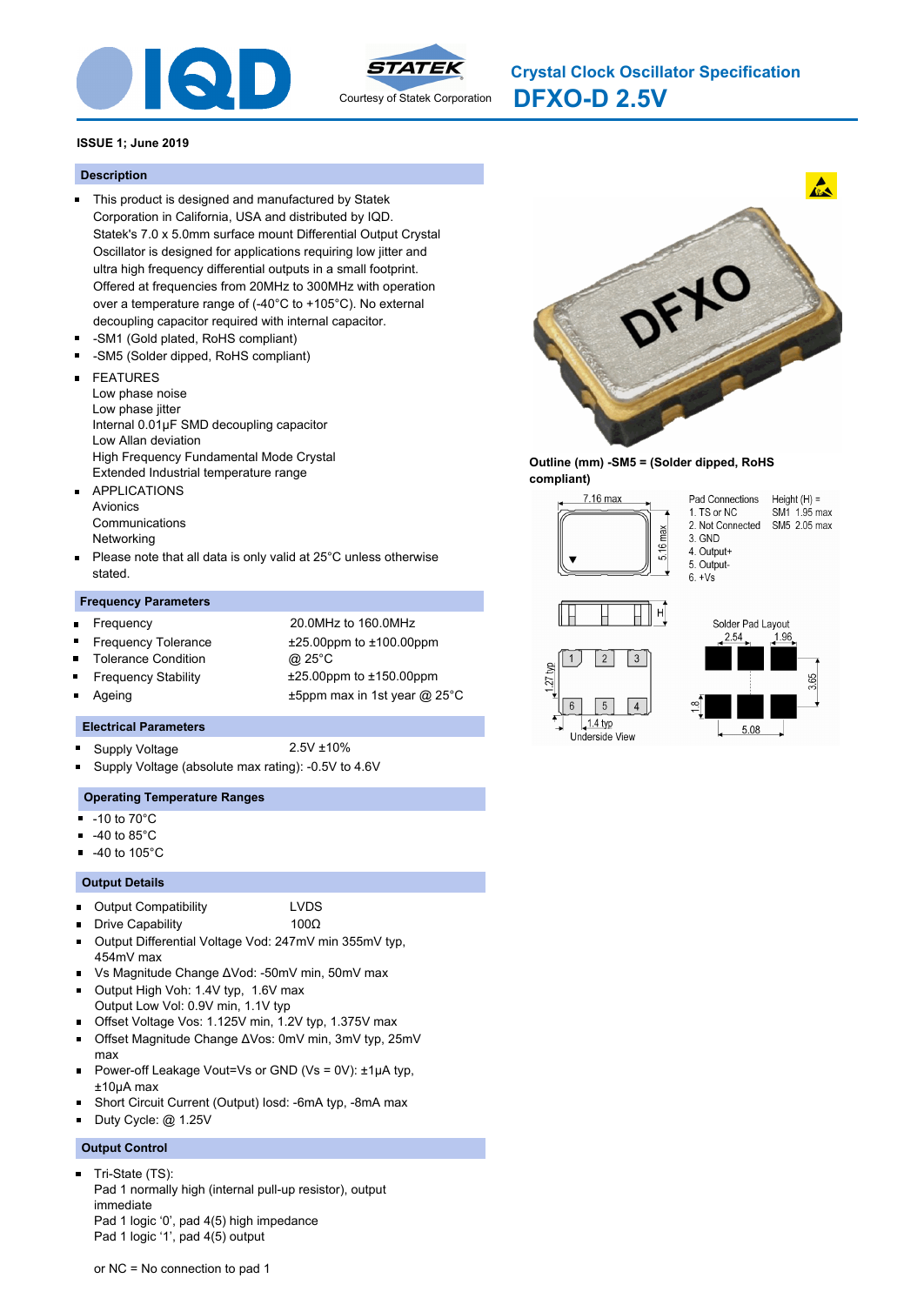



**DFXO-D 2.5V Crystal Clock Oscillator Specification**

# **ISSUE 1; June 2019**

#### **Description**

- This product is designed and manufactured by Statek Corporation in California, USA and distributed by IQD. Statek's 7.0 x 5.0mm surface mount Differential Output Crystal Oscillator is designed for applications requiring low jitter and ultra high frequency differential outputs in a small footprint. Offered at frequencies from 20MHz to 300MHz with operation over a temperature range of (-40°C to +105°C). No external decoupling capacitor required with internal capacitor.
- -SM1 (Gold plated, RoHS compliant)
- -SM5 (Solder dipped, RoHS compliant)
- FEATURES  $\blacksquare$ 
	- Low phase noise
	- Low phase jitter
- Internal 0.01μF SMD decoupling capacitor
- Low Allan deviation
- High Frequency Fundamental Mode Crystal
- Extended Industrial temperature range
- $\blacksquare$ APPLICATIONS Avionics Communications Networking
- Please note that all data is only valid at 25°C unless otherwise  $\blacksquare$ stated.

## **Frequency Parameters**

 $\blacksquare$ 

 $\blacksquare$ 

- Frequency 20.0MHz to 160.0MHz Frequency Tolerance ±25.00ppm to ±100.00ppm
- Tolerance Condition @ 25°C
- -
- 
- Frequency Stability ±25.00ppm to ±150.00ppm
- Ageing **EXALL** 25 and the Human to the Human Human ax in 1st year @ 25°C

## **Electrical Parameters**

- Supply Voltage 2.5V ±10%
	-
- Supply Voltage (absolute max rating): -0.5V to 4.6V

## **Operating Temperature Ranges**

- $-10$  to  $70^{\circ}$ C
- -40 to 85°C
- -40 to 105°C

## **Output Details**

- $\blacksquare$ Output Compatibility LVDS
- Drive Capability 100Ω
- Output Differential Voltage Vod: 247mV min 355mV typ, 454mV max
- Vs Magnitude Change ΔVod: -50mV min, 50mV max
- Output High Voh: 1.4V typ, 1.6V max
- Output Low Vol: 0.9V min, 1.1V typ
- Offset Voltage Vos: 1.125V min, 1.2V typ, 1.375V max
- Offset Magnitude Change ΔVos: 0mV min, 3mV typ, 25mV max
- Power-off Leakage Vout=Vs or GND (Vs = 0V): ±1μA typ, ±10μA max
- Short Circuit Current (Output) Iosd: -6mA typ, -8mA max
- Duty Cycle: @ 1.25V

## **Output Control**

 $\blacksquare$ Tri-State (TS): Pad 1 normally high (internal pull-up resistor), output immediate Pad 1 logic '0', pad 4(5) high impedance Pad 1 logic '1', pad 4(5) output



## **Outline (mm) -SM5 = (Solder dipped, RoHS compliant)**

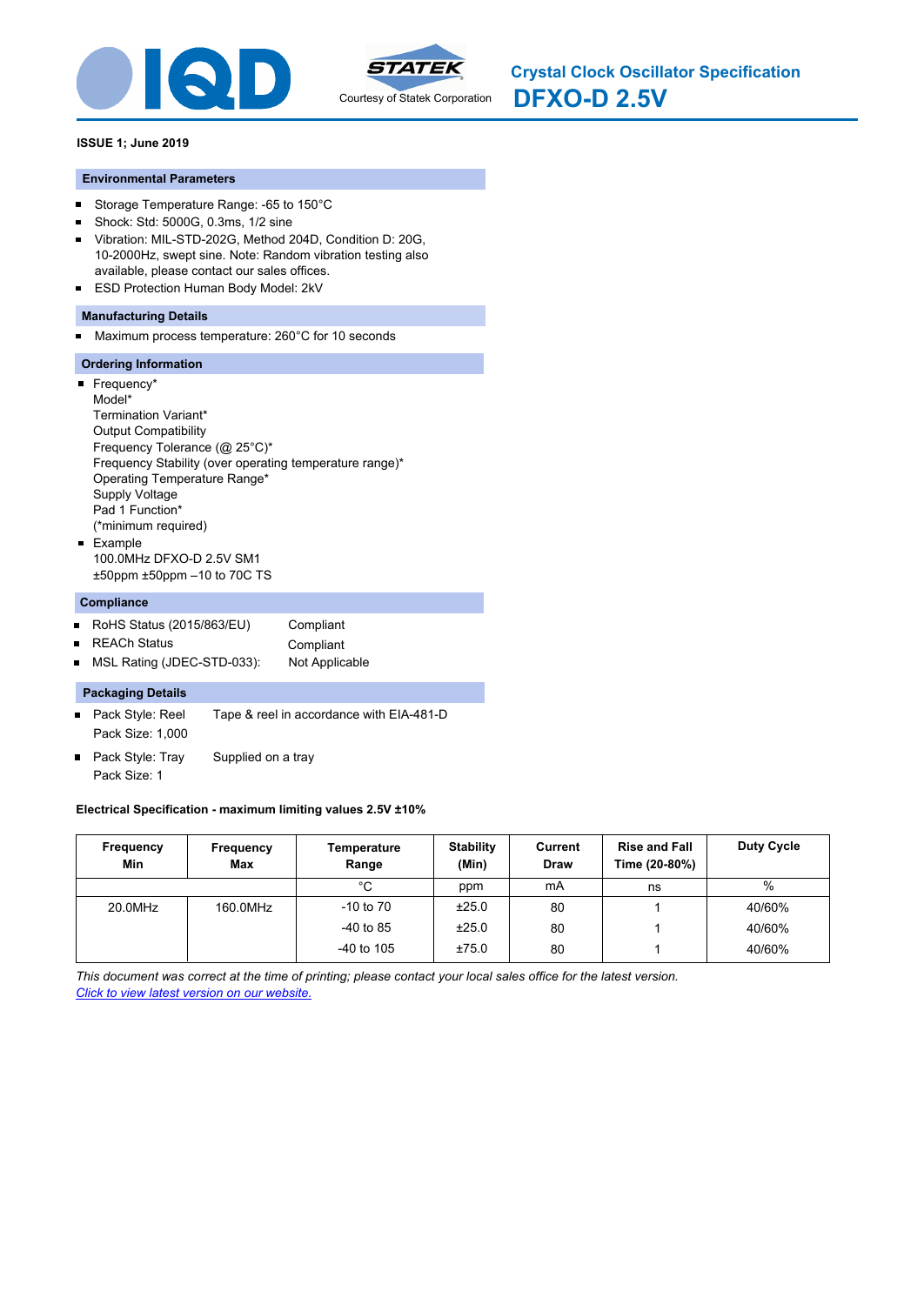



## **ISSUE 1; June 2019**

## **Environmental Parameters**

- $\blacksquare$ Storage Temperature Range: -65 to 150°C
- Shock: Std: 5000G, 0.3ms, 1/2 sine  $\blacksquare$
- $\blacksquare$ Vibration: MIL-STD-202G, Method 204D, Condition D: 20G, 10-2000Hz, swept sine. Note: Random vibration testing also available, please contact our sales offices.
- $\blacksquare$ ESD Protection Human Body Model: 2kV

## **Manufacturing Details**

Maximum process temperature: 260°C for 10 seconds  $\blacksquare$ 

## **Ordering Information**

 $\overline{\phantom{a}}$  Frequency\* Model\* Termination Variant\* Output Compatibility Frequency Tolerance (@ 25°C)\* Frequency Stability (over operating temperature range)\* Operating Temperature Range\* Supply Voltage Pad 1 Function\* (\*minimum required) **Example** 100.0MHz DFXO-D 2.5V SM1 ±50ppm ±50ppm –10 to 70C TS

### **Compliance**

- RoHS Status (2015/863/EU) Compliant  $\blacksquare$
- REACh Status **Compliant**  $\blacksquare$
- $\blacksquare$ MSL Rating (JDEC-STD-033): Not Applicable

## **Packaging Details**

- Pack Style: Reel Tape & reel in accordance with EIA-481-D  $\blacksquare$ Pack Size: 1,000
- Pack Style: Tray Supplied on a tray Pack Size: 1

## **Electrical Specification - maximum limiting values 2.5V ±10%**

| Frequency<br>Min | Frequency<br>Max | Temperature<br>Range | <b>Stability</b><br>(Min) | Current<br><b>Draw</b> | <b>Rise and Fall</b><br>Time (20-80%) | <b>Duty Cycle</b> |
|------------------|------------------|----------------------|---------------------------|------------------------|---------------------------------------|-------------------|
|                  |                  | °C                   | ppm                       | mA                     | ns                                    | $\%$              |
| 20.0MHz          | 160.0MHz         | $-10$ to $70$        | ±25.0                     | 80                     |                                       | 40/60%            |
|                  |                  | $-40$ to 85          | ±25.0                     | 80                     |                                       | 40/60%            |
|                  |                  | $-40$ to 105         | ±75.0                     | 80                     |                                       | 40/60%            |

*This document was correct at the time of printing; please contact your local sales office for the latest version. Click to view latest version on our website.*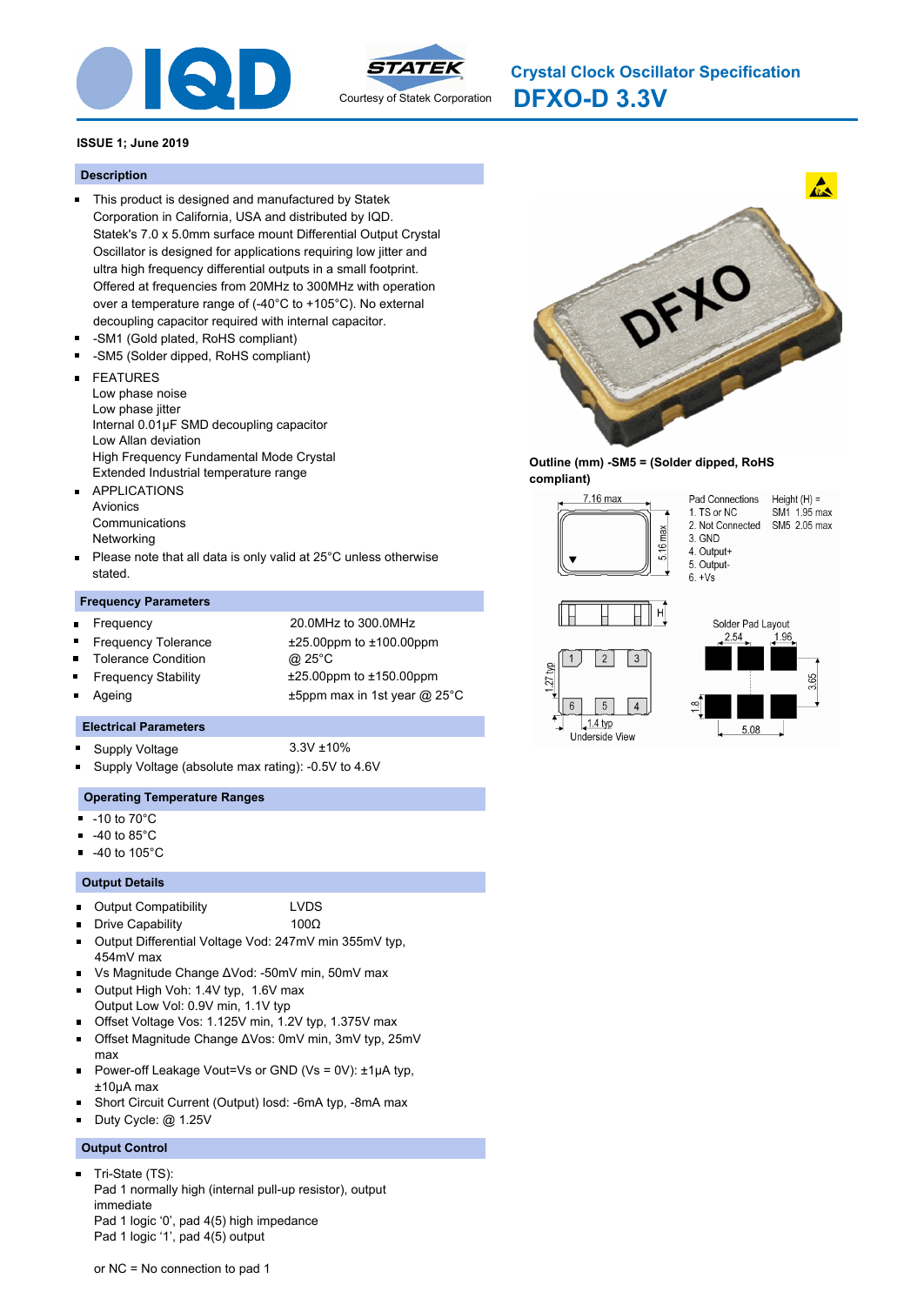



**DFXO-D 3.3V Crystal Clock Oscillator Specification**

# **ISSUE 1; June 2019**

### **Description**

- This product is designed and manufactured by Statek Corporation in California, USA and distributed by IQD. Statek's 7.0 x 5.0mm surface mount Differential Output Crystal Oscillator is designed for applications requiring low jitter and ultra high frequency differential outputs in a small footprint. Offered at frequencies from 20MHz to 300MHz with operation over a temperature range of (-40°C to +105°C). No external decoupling capacitor required with internal capacitor.
- -SM1 (Gold plated, RoHS compliant)
- -SM5 (Solder dipped, RoHS compliant)
- FEATURES  $\blacksquare$ 
	- Low phase noise
	- Low phase jitter
- Internal 0.01μF SMD decoupling capacitor
- Low Allan deviation
- High Frequency Fundamental Mode Crystal
- Extended Industrial temperature range
- $\blacksquare$ APPLICATIONS Avionics Communications Networking
- Please note that all data is only valid at 25°C unless otherwise  $\blacksquare$ stated.

## **Frequency Parameters**

- $\blacksquare$
- Frequency 20.0MHz to 300.0MHz Frequency Tolerance ±25.00ppm to ±100.00ppm
- Tolerance Condition @ 25°C
- 
- 
- 

 $\blacksquare$ 

- Frequency Stability ±25.00ppm to ±150.00ppm
- Ageing **EXALL** 25 and the Human to the Human Human ax in 1st year @ 25°C

## **Electrical Parameters**

- Supply Voltage 3.3V ±10%
	-
- Supply Voltage (absolute max rating): -0.5V to 4.6V

## **Operating Temperature Ranges**

- $-10$  to  $70^{\circ}$ C
- -40 to 85°C
- -40 to 105°C

## **Output Details**

- $\blacksquare$ Output Compatibility LVDS
- Drive Capability 100Ω
- Output Differential Voltage Vod: 247mV min 355mV typ, 454mV max
- Vs Magnitude Change ΔVod: -50mV min, 50mV max
- Output High Voh: 1.4V typ, 1.6V max
- Output Low Vol: 0.9V min, 1.1V typ
- Offset Voltage Vos: 1.125V min, 1.2V typ, 1.375V max
- Offset Magnitude Change ΔVos: 0mV min, 3mV typ, 25mV max
- Power-off Leakage Vout=Vs or GND (Vs = 0V): ±1μA typ, ±10μA max
- Short Circuit Current (Output) Iosd: -6mA typ, -8mA max
- Duty Cycle: @ 1.25V

## **Output Control**

 $\blacksquare$ Tri-State (TS): Pad 1 normally high (internal pull-up resistor), output immediate Pad 1 logic '0', pad 4(5) high impedance Pad 1 logic '1', pad 4(5) output



## **Outline (mm) -SM5 = (Solder dipped, RoHS compliant)**